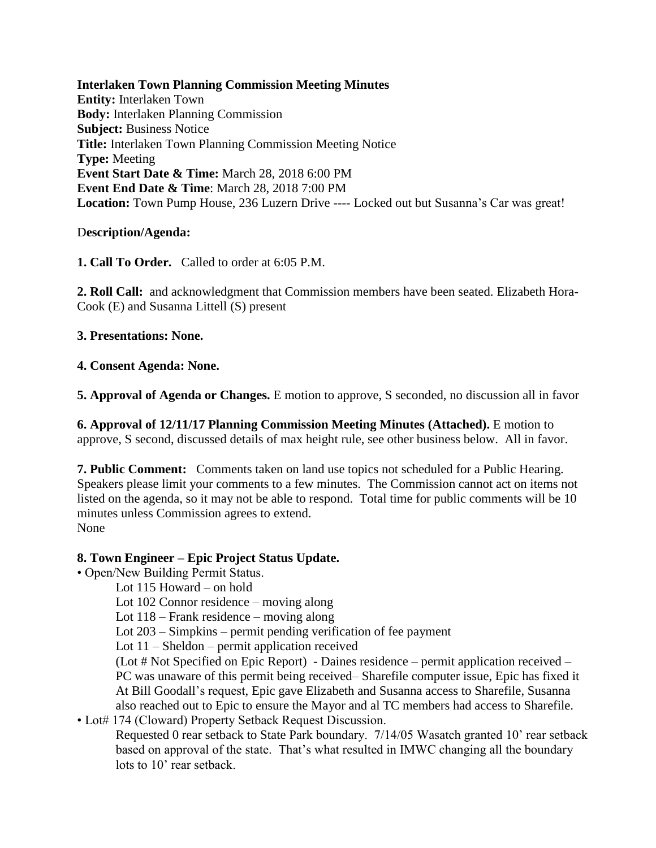**Interlaken Town Planning Commission Meeting Minutes Entity:** Interlaken Town **Body:** Interlaken Planning Commission **Subject:** Business Notice **Title:** Interlaken Town Planning Commission Meeting Notice **Type:** Meeting **Event Start Date & Time:** March 28, 2018 6:00 PM **Event End Date & Time**: March 28, 2018 7:00 PM **Location:** Town Pump House, 236 Luzern Drive ---- Locked out but Susanna's Car was great!

## D**escription/Agenda:**

**1. Call To Order.** Called to order at 6:05 P.M.

**2. Roll Call:** and acknowledgment that Commission members have been seated. Elizabeth Hora-Cook (E) and Susanna Littell (S) present

**3. Presentations: None.** 

**4. Consent Agenda: None.** 

**5. Approval of Agenda or Changes.** E motion to approve, S seconded, no discussion all in favor

**6. Approval of 12/11/17 Planning Commission Meeting Minutes (Attached).** E motion to approve, S second, discussed details of max height rule, see other business below. All in favor.

**7. Public Comment:** Comments taken on land use topics not scheduled for a Public Hearing. Speakers please limit your comments to a few minutes. The Commission cannot act on items not listed on the agenda, so it may not be able to respond. Total time for public comments will be 10 minutes unless Commission agrees to extend. None

## **8. Town Engineer – Epic Project Status Update.**

• Open/New Building Permit Status.

Lot 115 Howard – on hold

Lot 102 Connor residence – moving along

Lot 118 – Frank residence – moving along

Lot 203 – Simpkins – permit pending verification of fee payment

Lot 11 – Sheldon – permit application received

(Lot # Not Specified on Epic Report) - Daines residence – permit application received – PC was unaware of this permit being received– Sharefile computer issue, Epic has fixed it At Bill Goodall's request, Epic gave Elizabeth and Susanna access to Sharefile, Susanna also reached out to Epic to ensure the Mayor and al TC members had access to Sharefile.

• Lot# 174 (Cloward) Property Setback Request Discussion. Requested 0 rear setback to State Park boundary. 7/14/05 Wasatch granted 10' rear setback based on approval of the state. That's what resulted in IMWC changing all the boundary lots to 10' rear setback.